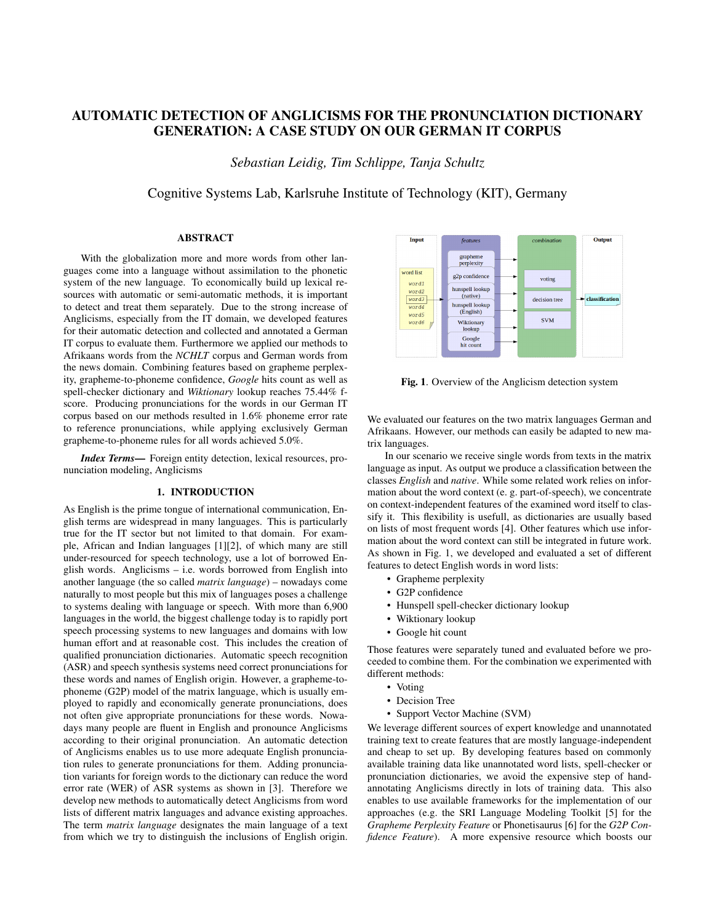# AUTOMATIC DETECTION OF ANGLICISMS FOR THE PRONUNCIATION DICTIONARY GENERATION: A CASE STUDY ON OUR GERMAN IT CORPUS

*Sebastian Leidig, Tim Schlippe, Tanja Schultz*

Cognitive Systems Lab, Karlsruhe Institute of Technology (KIT), Germany

# ABSTRACT

With the globalization more and more words from other languages come into a language without assimilation to the phonetic system of the new language. To economically build up lexical resources with automatic or semi-automatic methods, it is important to detect and treat them separately. Due to the strong increase of Anglicisms, especially from the IT domain, we developed features for their automatic detection and collected and annotated a German IT corpus to evaluate them. Furthermore we applied our methods to Afrikaans words from the *NCHLT* corpus and German words from the news domain. Combining features based on grapheme perplexity, grapheme-to-phoneme confidence, *Google* hits count as well as spell-checker dictionary and *Wiktionary* lookup reaches 75.44% fscore. Producing pronunciations for the words in our German IT corpus based on our methods resulted in 1.6% phoneme error rate to reference pronunciations, while applying exclusively German grapheme-to-phoneme rules for all words achieved 5.0%.

*Index Terms*— Foreign entity detection, lexical resources, pronunciation modeling, Anglicisms

# 1. INTRODUCTION

As English is the prime tongue of international communication, English terms are widespread in many languages. This is particularly true for the IT sector but not limited to that domain. For example, African and Indian languages [1][2], of which many are still under-resourced for speech technology, use a lot of borrowed English words. Anglicisms – i.e. words borrowed from English into another language (the so called *matrix language*) – nowadays come naturally to most people but this mix of languages poses a challenge to systems dealing with language or speech. With more than 6,900 languages in the world, the biggest challenge today is to rapidly port speech processing systems to new languages and domains with low human effort and at reasonable cost. This includes the creation of qualified pronunciation dictionaries. Automatic speech recognition (ASR) and speech synthesis systems need correct pronunciations for these words and names of English origin. However, a grapheme-tophoneme (G2P) model of the matrix language, which is usually employed to rapidly and economically generate pronunciations, does not often give appropriate pronunciations for these words. Nowadays many people are fluent in English and pronounce Anglicisms according to their original pronunciation. An automatic detection of Anglicisms enables us to use more adequate English pronunciation rules to generate pronunciations for them. Adding pronunciation variants for foreign words to the dictionary can reduce the word error rate (WER) of ASR systems as shown in [3]. Therefore we develop new methods to automatically detect Anglicisms from word lists of different matrix languages and advance existing approaches. The term *matrix language* designates the main language of a text from which we try to distinguish the inclusions of English origin.



Fig. 1. Overview of the Anglicism detection system

We evaluated our features on the two matrix languages German and Afrikaans. However, our methods can easily be adapted to new matrix languages.

In our scenario we receive single words from texts in the matrix language as input. As output we produce a classification between the classes *English* and *native*. While some related work relies on information about the word context (e. g. part-of-speech), we concentrate on context-independent features of the examined word itself to classify it. This flexibility is usefull, as dictionaries are usually based on lists of most frequent words [4]. Other features which use information about the word context can still be integrated in future work. As shown in Fig. 1, we developed and evaluated a set of different features to detect English words in word lists:

- Grapheme perplexity
- G2P confidence
- Hunspell spell-checker dictionary lookup
- Wiktionary lookup
- Google hit count

Those features were separately tuned and evaluated before we proceeded to combine them. For the combination we experimented with different methods:

- Voting
	- Decision Tree
	- Support Vector Machine (SVM)

We leverage different sources of expert knowledge and unannotated training text to create features that are mostly language-independent and cheap to set up. By developing features based on commonly available training data like unannotated word lists, spell-checker or pronunciation dictionaries, we avoid the expensive step of handannotating Anglicisms directly in lots of training data. This also enables to use available frameworks for the implementation of our approaches (e.g. the SRI Language Modeling Toolkit [5] for the *Grapheme Perplexity Feature* or Phonetisaurus [6] for the *G2P Confidence Feature*). A more expensive resource which boosts our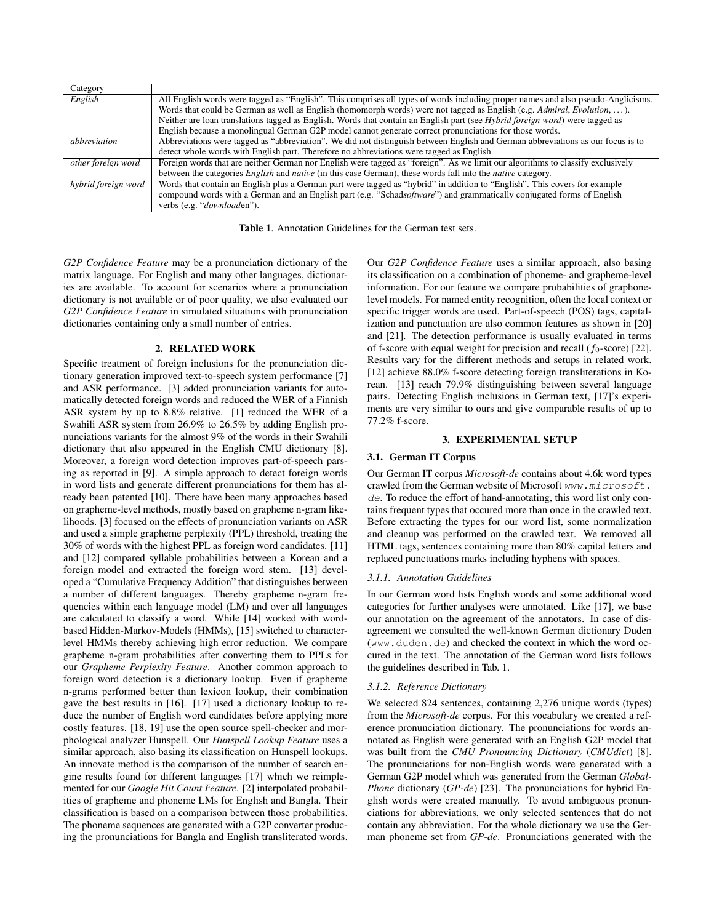| Category            |                                                                                                                                  |
|---------------------|----------------------------------------------------------------------------------------------------------------------------------|
| English             | All English words were tagged as "English". This comprises all types of words including proper names and also pseudo-Anglicisms. |
|                     | Words that could be German as well as English (homomorph words) were not tagged as English (e.g. Admiral, Evolution, ).          |
|                     | Neither are loan translations tagged as English. Words that contain an English part (see Hybrid foreign word) were tagged as     |
|                     | English because a monolingual German G2P model cannot generate correct pronunciations for those words.                           |
| abbreviation        | Abbreviations were tagged as "abbreviation". We did not distinguish between English and German abbreviations as our focus is to  |
|                     | detect whole words with English part. Therefore no abbreviations were tagged as English.                                         |
| other foreign word  | Foreign words that are neither German nor English were tagged as "foreign". As we limit our algorithms to classify exclusively   |
|                     | between the categories <i>English</i> and <i>native</i> (in this case German), these words fall into the <i>native</i> category. |
| hybrid foreign word | Words that contain an English plus a German part were tagged as "hybrid" in addition to "English". This covers for example       |
|                     | compound words with a German and an English part (e.g. "Schadsoftware") and grammatically conjugated forms of English            |
|                     | verbs (e.g. " <i>downloaden</i> ").                                                                                              |

Table 1. Annotation Guidelines for the German test sets.

*G2P Confidence Feature* may be a pronunciation dictionary of the matrix language. For English and many other languages, dictionaries are available. To account for scenarios where a pronunciation dictionary is not available or of poor quality, we also evaluated our *G2P Confidence Feature* in simulated situations with pronunciation dictionaries containing only a small number of entries.

### 2. RELATED WORK

Specific treatment of foreign inclusions for the pronunciation dictionary generation improved text-to-speech system performance [7] and ASR performance. [3] added pronunciation variants for automatically detected foreign words and reduced the WER of a Finnish ASR system by up to 8.8% relative. [1] reduced the WER of a Swahili ASR system from 26.9% to 26.5% by adding English pronunciations variants for the almost 9% of the words in their Swahili dictionary that also appeared in the English CMU dictionary [8]. Moreover, a foreign word detection improves part-of-speech parsing as reported in [9]. A simple approach to detect foreign words in word lists and generate different pronunciations for them has already been patented [10]. There have been many approaches based on grapheme-level methods, mostly based on grapheme n-gram likelihoods. [3] focused on the effects of pronunciation variants on ASR and used a simple grapheme perplexity (PPL) threshold, treating the 30% of words with the highest PPL as foreign word candidates. [11] and [12] compared syllable probabilities between a Korean and a foreign model and extracted the foreign word stem. [13] developed a "Cumulative Frequency Addition" that distinguishes between a number of different languages. Thereby grapheme n-gram frequencies within each language model (LM) and over all languages are calculated to classify a word. While [14] worked with wordbased Hidden-Markov-Models (HMMs), [15] switched to characterlevel HMMs thereby achieving high error reduction. We compare grapheme n-gram probabilities after converting them to PPLs for our *Grapheme Perplexity Feature*. Another common approach to foreign word detection is a dictionary lookup. Even if grapheme n-grams performed better than lexicon lookup, their combination gave the best results in [16]. [17] used a dictionary lookup to reduce the number of English word candidates before applying more costly features. [18, 19] use the open source spell-checker and morphological analyzer Hunspell. Our *Hunspell Lookup Feature* uses a similar approach, also basing its classification on Hunspell lookups. An innovate method is the comparison of the number of search engine results found for different languages [17] which we reimplemented for our *Google Hit Count Feature*. [2] interpolated probabilities of grapheme and phoneme LMs for English and Bangla. Their classification is based on a comparison between those probabilities. The phoneme sequences are generated with a G2P converter producing the pronunciations for Bangla and English transliterated words.

Our *G2P Confidence Feature* uses a similar approach, also basing its classification on a combination of phoneme- and grapheme-level information. For our feature we compare probabilities of graphonelevel models. For named entity recognition, often the local context or specific trigger words are used. Part-of-speech (POS) tags, capitalization and punctuation are also common features as shown in [20] and [21]. The detection performance is usually evaluated in terms of f-score with equal weight for precision and recall ( $f_0$ -score) [22]. Results vary for the different methods and setups in related work. [12] achieve 88.0% f-score detecting foreign transliterations in Korean. [13] reach 79.9% distinguishing between several language pairs. Detecting English inclusions in German text, [17]'s experiments are very similar to ours and give comparable results of up to 77.2% f-score.

### 3. EXPERIMENTAL SETUP

# 3.1. German IT Corpus

Our German IT corpus *Microsoft-de* contains about 4.6k word types crawled from the German website of Microsoft www.microsoft. de. To reduce the effort of hand-annotating, this word list only contains frequent types that occured more than once in the crawled text. Before extracting the types for our word list, some normalization and cleanup was performed on the crawled text. We removed all HTML tags, sentences containing more than 80% capital letters and replaced punctuations marks including hyphens with spaces.

### *3.1.1. Annotation Guidelines*

In our German word lists English words and some additional word categories for further analyses were annotated. Like [17], we base our annotation on the agreement of the annotators. In case of disagreement we consulted the well-known German dictionary Duden (www.duden.de) and checked the context in which the word occured in the text. The annotation of the German word lists follows the guidelines described in Tab. 1.

### *3.1.2. Reference Dictionary*

We selected 824 sentences, containing 2,276 unique words (types) from the *Microsoft-de* corpus. For this vocabulary we created a reference pronunciation dictionary. The pronunciations for words annotated as English were generated with an English G2P model that was built from the *CMU Pronouncing Dictionary* (*CMUdict*) [8]. The pronunciations for non-English words were generated with a German G2P model which was generated from the German *Global-Phone* dictionary (*GP-de*) [23]. The pronunciations for hybrid English words were created manually. To avoid ambiguous pronunciations for abbreviations, we only selected sentences that do not contain any abbreviation. For the whole dictionary we use the German phoneme set from *GP-de*. Pronunciations generated with the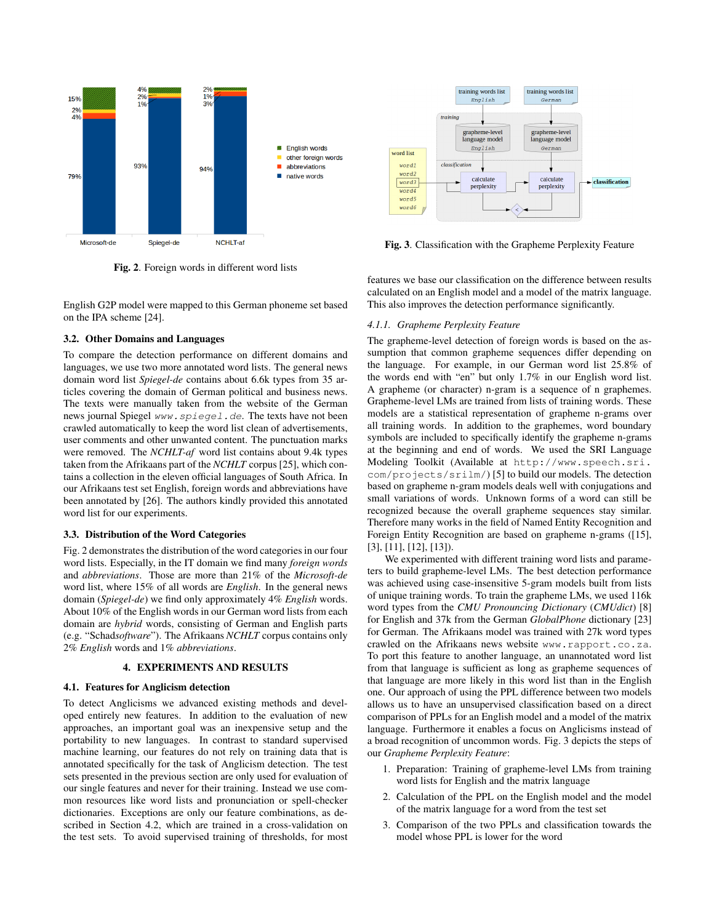

Fig. 2. Foreign words in different word lists

English G2P model were mapped to this German phoneme set based on the IPA scheme [24].

# 3.2. Other Domains and Languages

To compare the detection performance on different domains and languages, we use two more annotated word lists. The general news domain word list *Spiegel-de* contains about 6.6k types from 35 articles covering the domain of German political and business news. The texts were manually taken from the website of the German news journal Spiegel www.spiegel.de. The texts have not been crawled automatically to keep the word list clean of advertisements, user comments and other unwanted content. The punctuation marks were removed. The *NCHLT-af* word list contains about 9.4k types taken from the Afrikaans part of the *NCHLT* corpus [25], which contains a collection in the eleven official languages of South Africa. In our Afrikaans test set English, foreign words and abbreviations have been annotated by [26]. The authors kindly provided this annotated word list for our experiments.

### 3.3. Distribution of the Word Categories

Fig. 2 demonstrates the distribution of the word categories in our four word lists. Especially, in the IT domain we find many *foreign words* and *abbreviations*. Those are more than 21% of the *Microsoft-de* word list, where 15% of all words are *English*. In the general news domain (*Spiegel-de*) we find only approximately 4% *English* words. About 10% of the English words in our German word lists from each domain are *hybrid* words, consisting of German and English parts (e.g. "Schad*software*"). The Afrikaans *NCHLT* corpus contains only 2% *English* words and 1% *abbreviations*.

### 4. EXPERIMENTS AND RESULTS

# 4.1. Features for Anglicism detection

To detect Anglicisms we advanced existing methods and developed entirely new features. In addition to the evaluation of new approaches, an important goal was an inexpensive setup and the portability to new languages. In contrast to standard supervised machine learning, our features do not rely on training data that is annotated specifically for the task of Anglicism detection. The test sets presented in the previous section are only used for evaluation of our single features and never for their training. Instead we use common resources like word lists and pronunciation or spell-checker dictionaries. Exceptions are only our feature combinations, as described in Section 4.2, which are trained in a cross-validation on the test sets. To avoid supervised training of thresholds, for most



Fig. 3. Classification with the Grapheme Perplexity Feature

features we base our classification on the difference between results calculated on an English model and a model of the matrix language. This also improves the detection performance significantly.

# *4.1.1. Grapheme Perplexity Feature*

The grapheme-level detection of foreign words is based on the assumption that common grapheme sequences differ depending on the language. For example, in our German word list 25.8% of the words end with "en" but only 1.7% in our English word list. A grapheme (or character) n-gram is a sequence of n graphemes. Grapheme-level LMs are trained from lists of training words. These models are a statistical representation of grapheme n-grams over all training words. In addition to the graphemes, word boundary symbols are included to specifically identify the grapheme n-grams at the beginning and end of words. We used the SRI Language Modeling Toolkit (Available at http://www.speech.sri. com/projects/srilm/) [5] to build our models. The detection based on grapheme n-gram models deals well with conjugations and small variations of words. Unknown forms of a word can still be recognized because the overall grapheme sequences stay similar. Therefore many works in the field of Named Entity Recognition and Foreign Entity Recognition are based on grapheme n-grams ([15], [3], [11], [12], [13]).

We experimented with different training word lists and parameters to build grapheme-level LMs. The best detection performance was achieved using case-insensitive 5-gram models built from lists of unique training words. To train the grapheme LMs, we used 116k word types from the *CMU Pronouncing Dictionary* (*CMUdict*) [8] for English and 37k from the German *GlobalPhone* dictionary [23] for German. The Afrikaans model was trained with 27k word types crawled on the Afrikaans news website www.rapport.co.za. To port this feature to another language, an unannotated word list from that language is sufficient as long as grapheme sequences of that language are more likely in this word list than in the English one. Our approach of using the PPL difference between two models allows us to have an unsupervised classification based on a direct comparison of PPLs for an English model and a model of the matrix language. Furthermore it enables a focus on Anglicisms instead of a broad recognition of uncommon words. Fig. 3 depicts the steps of our *Grapheme Perplexity Feature*:

- 1. Preparation: Training of grapheme-level LMs from training word lists for English and the matrix language
- 2. Calculation of the PPL on the English model and the model of the matrix language for a word from the test set
- 3. Comparison of the two PPLs and classification towards the model whose PPL is lower for the word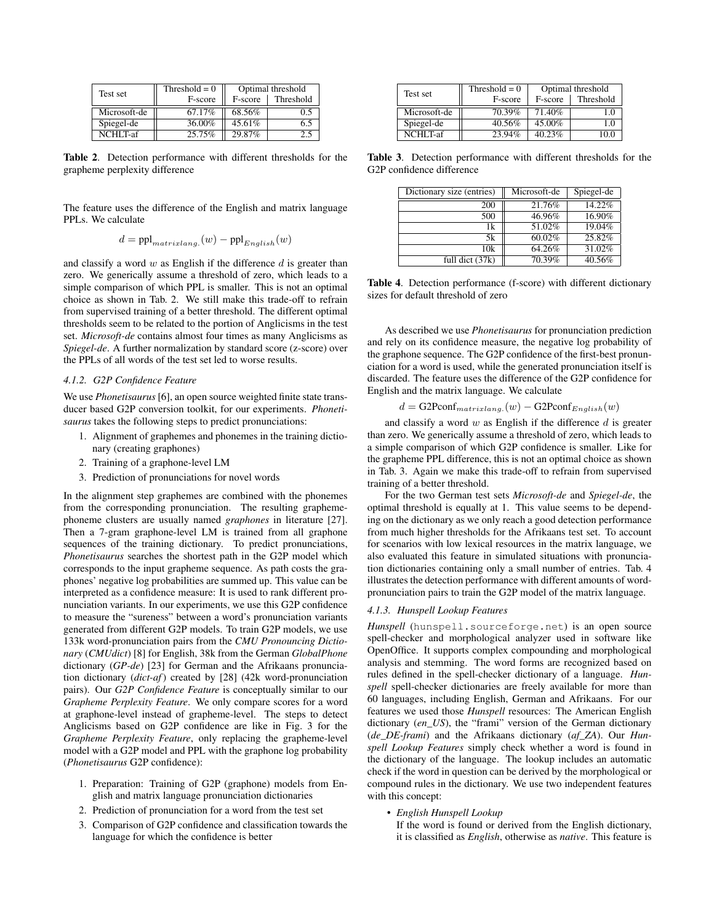| Test set     | Threshold $= 0$ | Optimal threshold |           |
|--------------|-----------------|-------------------|-----------|
|              | F-score         | F-score           | Threshold |
| Microsoft-de | 67.17%          | 68.56%            | 0.5       |
| Spiegel-de   | 36.00%          | 45.61%            | 65        |
| NCHI T-af    | 25.75%          | 29.87%            | 2.5       |

Table 2. Detection performance with different thresholds for the grapheme perplexity difference

The feature uses the difference of the English and matrix language PPLs. We calculate

$$
d = \text{ppl}_{matrixlang.}(w) - \text{ppl}_{English}(w)
$$

and classify a word  $w$  as English if the difference  $d$  is greater than zero. We generically assume a threshold of zero, which leads to a simple comparison of which PPL is smaller. This is not an optimal choice as shown in Tab. 2. We still make this trade-off to refrain from supervised training of a better threshold. The different optimal thresholds seem to be related to the portion of Anglicisms in the test set. *Microsoft-de* contains almost four times as many Anglicisms as *Spiegel-de*. A further normalization by standard score (z-score) over the PPLs of all words of the test set led to worse results.

### *4.1.2. G2P Confidence Feature*

We use *Phonetisaurus* [6], an open source weighted finite state transducer based G2P conversion toolkit, for our experiments. *Phonetisaurus* takes the following steps to predict pronunciations:

- 1. Alignment of graphemes and phonemes in the training dictionary (creating graphones)
- 2. Training of a graphone-level LM
- 3. Prediction of pronunciations for novel words

In the alignment step graphemes are combined with the phonemes from the corresponding pronunciation. The resulting graphemephoneme clusters are usually named *graphones* in literature [27]. Then a 7-gram graphone-level LM is trained from all graphone sequences of the training dictionary. To predict pronunciations, *Phonetisaurus* searches the shortest path in the G2P model which corresponds to the input grapheme sequence. As path costs the graphones' negative log probabilities are summed up. This value can be interpreted as a confidence measure: It is used to rank different pronunciation variants. In our experiments, we use this G2P confidence to measure the "sureness" between a word's pronunciation variants generated from different G2P models. To train G2P models, we use 133k word-pronunciation pairs from the *CMU Pronouncing Dictionary* (*CMUdict*) [8] for English, 38k from the German *GlobalPhone* dictionary (*GP-de*) [23] for German and the Afrikaans pronunciation dictionary (*dict-af*) created by [28] (42k word-pronunciation pairs). Our *G2P Confidence Feature* is conceptually similar to our *Grapheme Perplexity Feature*. We only compare scores for a word at graphone-level instead of grapheme-level. The steps to detect Anglicisms based on G2P confidence are like in Fig. 3 for the *Grapheme Perplexity Feature*, only replacing the grapheme-level model with a G2P model and PPL with the graphone log probability (*Phonetisaurus* G2P confidence):

- 1. Preparation: Training of G2P (graphone) models from English and matrix language pronunciation dictionaries
- 2. Prediction of pronunciation for a word from the test set
- 3. Comparison of G2P confidence and classification towards the language for which the confidence is better

| Test set     | Threshold $= 0$ | Optimal threshold |           |
|--------------|-----------------|-------------------|-----------|
|              | F-score         | F-score           | Threshold |
| Microsoft-de | 70.39%          | 71.40%            | 10        |
| Spiegel-de   | 40.56%          | 45.00%            | 1.0       |
| NCHI T-af    | 23.94%          | 40.23%            | 10.0      |

Table 3. Detection performance with different thresholds for the G2P confidence difference

| Dictionary size (entries) | Microsoft-de | Spiegel-de |
|---------------------------|--------------|------------|
| 200                       | 21.76%       | 14.22%     |
| 500                       | 46.96%       | 16.90%     |
| 1k                        | $51.02\%$    | 19.04%     |
| 5k                        | 60.02%       | 25.82%     |
| 10k                       | 64.26%       | 31.02%     |
| full dict (37k)           | 70.39%       | 40.56%     |

Table 4. Detection performance (f-score) with different dictionary sizes for default threshold of zero

As described we use *Phonetisaurus* for pronunciation prediction and rely on its confidence measure, the negative log probability of the graphone sequence. The G2P confidence of the first-best pronunciation for a word is used, while the generated pronunciation itself is discarded. The feature uses the difference of the G2P confidence for English and the matrix language. We calculate

$$
d = \text{G2Pconf}_{matrixlang.}(w) - \text{G2Pconf}_{English}(w)
$$

and classify a word  $w$  as English if the difference  $d$  is greater than zero. We generically assume a threshold of zero, which leads to a simple comparison of which G2P confidence is smaller. Like for the grapheme PPL difference, this is not an optimal choice as shown in Tab. 3. Again we make this trade-off to refrain from supervised training of a better threshold.

For the two German test sets *Microsoft-de* and *Spiegel-de*, the optimal threshold is equally at 1. This value seems to be depending on the dictionary as we only reach a good detection performance from much higher thresholds for the Afrikaans test set. To account for scenarios with low lexical resources in the matrix language, we also evaluated this feature in simulated situations with pronunciation dictionaries containing only a small number of entries. Tab. 4 illustrates the detection performance with different amounts of wordpronunciation pairs to train the G2P model of the matrix language.

# *4.1.3. Hunspell Lookup Features*

*Hunspell* (hunspell.sourceforge.net) is an open source spell-checker and morphological analyzer used in software like OpenOffice. It supports complex compounding and morphological analysis and stemming. The word forms are recognized based on rules defined in the spell-checker dictionary of a language. *Hunspell* spell-checker dictionaries are freely available for more than 60 languages, including English, German and Afrikaans. For our features we used those *Hunspell* resources: The American English dictionary (*en\_US*), the "frami" version of the German dictionary (*de\_DE-frami*) and the Afrikaans dictionary (*af\_ZA*). Our *Hunspell Lookup Features* simply check whether a word is found in the dictionary of the language. The lookup includes an automatic check if the word in question can be derived by the morphological or compound rules in the dictionary. We use two independent features with this concept:

• *English Hunspell Lookup*

If the word is found or derived from the English dictionary, it is classified as *English*, otherwise as *native*. This feature is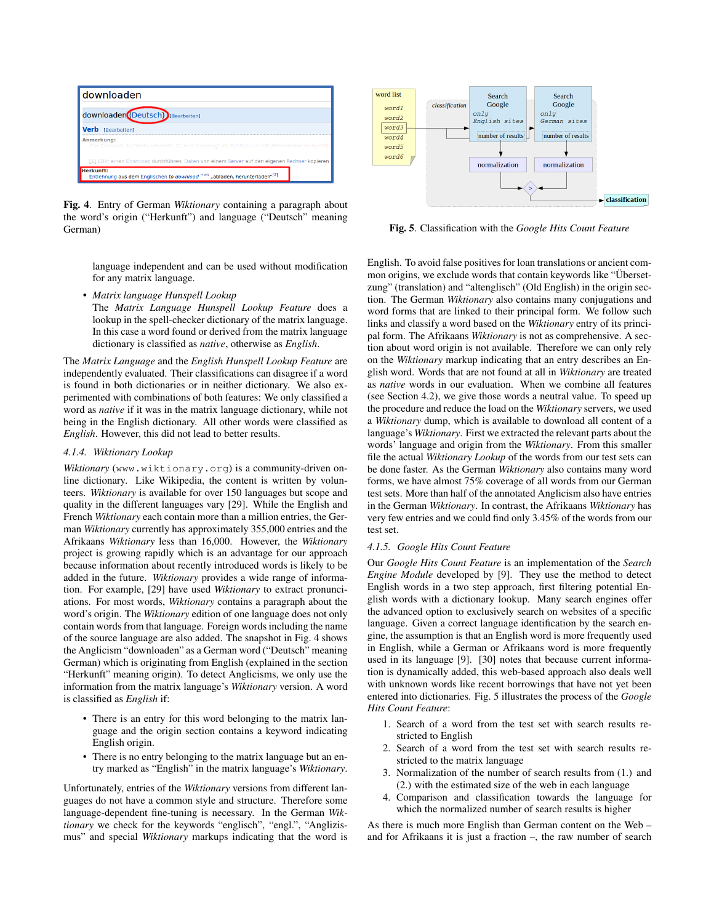

Fig. 4. Entry of German *Wiktionary* containing a paragraph about the word's origin ("Herkunft") and language ("Deutsch" meaning German)

language independent and can be used without modification for any matrix language.

• *Matrix language Hunspell Lookup*

The *Matrix Language Hunspell Lookup Feature* does a lookup in the spell-checker dictionary of the matrix language. In this case a word found or derived from the matrix language dictionary is classified as *native*, otherwise as *English*.

The *Matrix Language* and the *English Hunspell Lookup Feature* are independently evaluated. Their classifications can disagree if a word is found in both dictionaries or in neither dictionary. We also experimented with combinations of both features: We only classified a word as *native* if it was in the matrix language dictionary, while not being in the English dictionary. All other words were classified as *English*. However, this did not lead to better results.

# *4.1.4. Wiktionary Lookup*

*Wiktionary* (www.wiktionary.org) is a community-driven online dictionary. Like Wikipedia, the content is written by volunteers. *Wiktionary* is available for over 150 languages but scope and quality in the different languages vary [29]. While the English and French *Wiktionary* each contain more than a million entries, the German *Wiktionary* currently has approximately 355,000 entries and the Afrikaans *Wiktionary* less than 16,000. However, the *Wiktionary* project is growing rapidly which is an advantage for our approach because information about recently introduced words is likely to be added in the future. *Wiktionary* provides a wide range of information. For example, [29] have used *Wiktionary* to extract pronunciations. For most words, *Wiktionary* contains a paragraph about the word's origin. The *Wiktionary* edition of one language does not only contain words from that language. Foreign words including the name of the source language are also added. The snapshot in Fig. 4 shows the Anglicism "downloaden" as a German word ("Deutsch" meaning German) which is originating from English (explained in the section "Herkunft" meaning origin). To detect Anglicisms, we only use the information from the matrix language's *Wiktionary* version. A word is classified as *English* if:

- There is an entry for this word belonging to the matrix language and the origin section contains a keyword indicating English origin.
- There is no entry belonging to the matrix language but an entry marked as "English" in the matrix language's *Wiktionary*.

Unfortunately, entries of the *Wiktionary* versions from different languages do not have a common style and structure. Therefore some language-dependent fine-tuning is necessary. In the German *Wiktionary* we check for the keywords "englisch", "engl.", "Anglizismus" and special *Wiktionary* markups indicating that the word is



Fig. 5. Classification with the *Google Hits Count Feature*

English. To avoid false positives for loan translations or ancient common origins, we exclude words that contain keywords like "Übersetzung" (translation) and "altenglisch" (Old English) in the origin section. The German *Wiktionary* also contains many conjugations and word forms that are linked to their principal form. We follow such links and classify a word based on the *Wiktionary* entry of its principal form. The Afrikaans *Wiktionary* is not as comprehensive. A section about word origin is not available. Therefore we can only rely on the *Wiktionary* markup indicating that an entry describes an English word. Words that are not found at all in *Wiktionary* are treated as *native* words in our evaluation. When we combine all features (see Section 4.2), we give those words a neutral value. To speed up the procedure and reduce the load on the *Wiktionary* servers, we used a *Wiktionary* dump, which is available to download all content of a language's *Wiktionary*. First we extracted the relevant parts about the words' language and origin from the *Wiktionary*. From this smaller file the actual *Wiktionary Lookup* of the words from our test sets can be done faster. As the German *Wiktionary* also contains many word forms, we have almost 75% coverage of all words from our German test sets. More than half of the annotated Anglicism also have entries in the German *Wiktionary*. In contrast, the Afrikaans *Wiktionary* has very few entries and we could find only 3.45% of the words from our test set.

# *4.1.5. Google Hits Count Feature*

Our *Google Hits Count Feature* is an implementation of the *Search Engine Module* developed by [9]. They use the method to detect English words in a two step approach, first filtering potential English words with a dictionary lookup. Many search engines offer the advanced option to exclusively search on websites of a specific language. Given a correct language identification by the search engine, the assumption is that an English word is more frequently used in English, while a German or Afrikaans word is more frequently used in its language [9]. [30] notes that because current information is dynamically added, this web-based approach also deals well with unknown words like recent borrowings that have not yet been entered into dictionaries. Fig. 5 illustrates the process of the *Google Hits Count Feature*:

- 1. Search of a word from the test set with search results restricted to English
- 2. Search of a word from the test set with search results restricted to the matrix language
- 3. Normalization of the number of search results from (1.) and (2.) with the estimated size of the web in each language
- 4. Comparison and classification towards the language for which the normalized number of search results is higher

As there is much more English than German content on the Web – and for Afrikaans it is just a fraction –, the raw number of search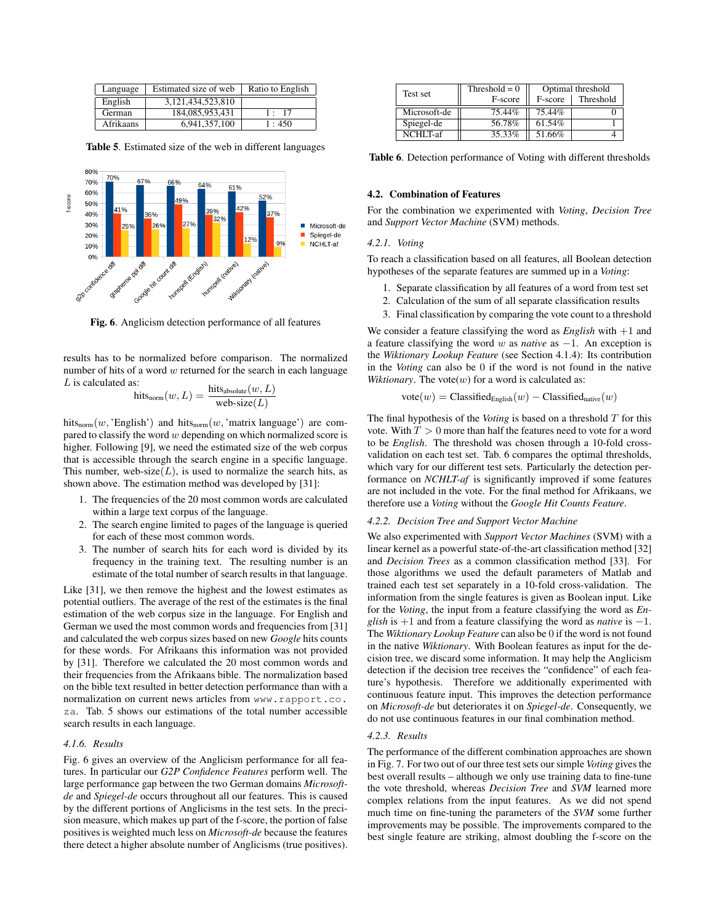| Language  | Estimated size of web | Ratio to English |
|-----------|-----------------------|------------------|
| English   | 3,121,434,523,810     |                  |
| German    | 184,085,953,431       | 17               |
| Afrikaans | 6,941,357,100         | $\cdot$ 450      |

Table 5. Estimated size of the web in different languages



Fig. 6. Anglicism detection performance of all features

results has to be normalized before comparison. The normalized number of hits of a word  $w$  returned for the search in each language  $L$  is calculated as:

$$
\text{hits}_{\text{norm}}(w, L) = \frac{\text{hits}_{\text{absolute}}(w, L)}{\text{web-size}(L)}
$$

hits<sub>norm</sub> $(w, 'English')$  and hits<sub>norm</sub> $(w, 'matrix$  language') are compared to classify the word  $w$  depending on which normalized score is higher. Following [9], we need the estimated size of the web corpus that is accessible through the search engine in a specific language. This number, web-size $(L)$ , is used to normalize the search hits, as shown above. The estimation method was developed by [31]:

- 1. The frequencies of the 20 most common words are calculated within a large text corpus of the language.
- 2. The search engine limited to pages of the language is queried for each of these most common words.
- 3. The number of search hits for each word is divided by its frequency in the training text. The resulting number is an estimate of the total number of search results in that language.

Like [31], we then remove the highest and the lowest estimates as potential outliers. The average of the rest of the estimates is the final estimation of the web corpus size in the language. For English and German we used the most common words and frequencies from [31] and calculated the web corpus sizes based on new *Google* hits counts for these words. For Afrikaans this information was not provided by [31]. Therefore we calculated the 20 most common words and their frequencies from the Afrikaans bible. The normalization based on the bible text resulted in better detection performance than with a normalization on current news articles from www.rapport.co. za. Tab. 5 shows our estimations of the total number accessible search results in each language.

# *4.1.6. Results*

Fig. 6 gives an overview of the Anglicism performance for all features. In particular our *G2P Confidence Features* perform well. The large performance gap between the two German domains *Microsoftde* and *Spiegel-de* occurs throughout all our features. This is caused by the different portions of Anglicisms in the test sets. In the precision measure, which makes up part of the f-score, the portion of false positives is weighted much less on *Microsoft-de* because the features there detect a higher absolute number of Anglicisms (true positives).

| Test set     | Threshold $= 0$ | Optimal threshold |           |
|--------------|-----------------|-------------------|-----------|
|              | F-score         | F-score           | Threshold |
| Microsoft-de | 75.44%          | 75.44%            |           |
| Spiegel-de   | 56.78%          | 61.54%            |           |
| NCHI T-af    | 35.33%          | 51.66%            |           |

Table 6. Detection performance of Voting with different thresholds

# 4.2. Combination of Features

For the combination we experimented with *Voting*, *Decision Tree* and *Support Vector Machine* (SVM) methods.

# *4.2.1. Voting*

To reach a classification based on all features, all Boolean detection hypotheses of the separate features are summed up in a *Voting*:

- 1. Separate classification by all features of a word from test set
- 2. Calculation of the sum of all separate classification results
- 3. Final classification by comparing the vote count to a threshold

We consider a feature classifying the word as *English* with +1 and a feature classifying the word w as *native* as −1. An exception is the *Wiktionary Lookup Feature* (see Section 4.1.4): Its contribution in the *Voting* can also be 0 if the word is not found in the native *Wiktionary*. The vote( $w$ ) for a word is calculated as:

$$
vote(w) = \text{Classified}_{\text{English}}(w) - \text{Classified}_{\text{native}}(w)
$$

The final hypothesis of the *Voting* is based on a threshold  $T$  for this vote. With  $T > 0$  more than half the features need to vote for a word to be *English*. The threshold was chosen through a 10-fold crossvalidation on each test set. Tab. 6 compares the optimal thresholds, which vary for our different test sets. Particularly the detection performance on *NCHLT-af* is significantly improved if some features are not included in the vote. For the final method for Afrikaans, we therefore use a *Voting* without the *Google Hit Counts Feature*.

#### *4.2.2. Decision Tree and Support Vector Machine*

We also experimented with *Support Vector Machines* (SVM) with a linear kernel as a powerful state-of-the-art classification method [32] and *Decision Trees* as a common classification method [33]. For those algorithms we used the default parameters of Matlab and trained each test set separately in a 10-fold cross-validation. The information from the single features is given as Boolean input. Like for the *Voting*, the input from a feature classifying the word as *English* is +1 and from a feature classifying the word as *native* is −1. The *Wiktionary Lookup Feature* can also be 0 if the word is not found in the native *Wiktionary*. With Boolean features as input for the decision tree, we discard some information. It may help the Anglicism detection if the decision tree receives the "confidence" of each feature's hypothesis. Therefore we additionally experimented with continuous feature input. This improves the detection performance on *Microsoft-de* but deteriorates it on *Spiegel-de*. Consequently, we do not use continuous features in our final combination method.

#### *4.2.3. Results*

The performance of the different combination approaches are shown in Fig. 7. For two out of our three test sets our simple *Voting* gives the best overall results – although we only use training data to fine-tune the vote threshold, whereas *Decision Tree* and *SVM* learned more complex relations from the input features. As we did not spend much time on fine-tuning the parameters of the *SVM* some further improvements may be possible. The improvements compared to the best single feature are striking, almost doubling the f-score on the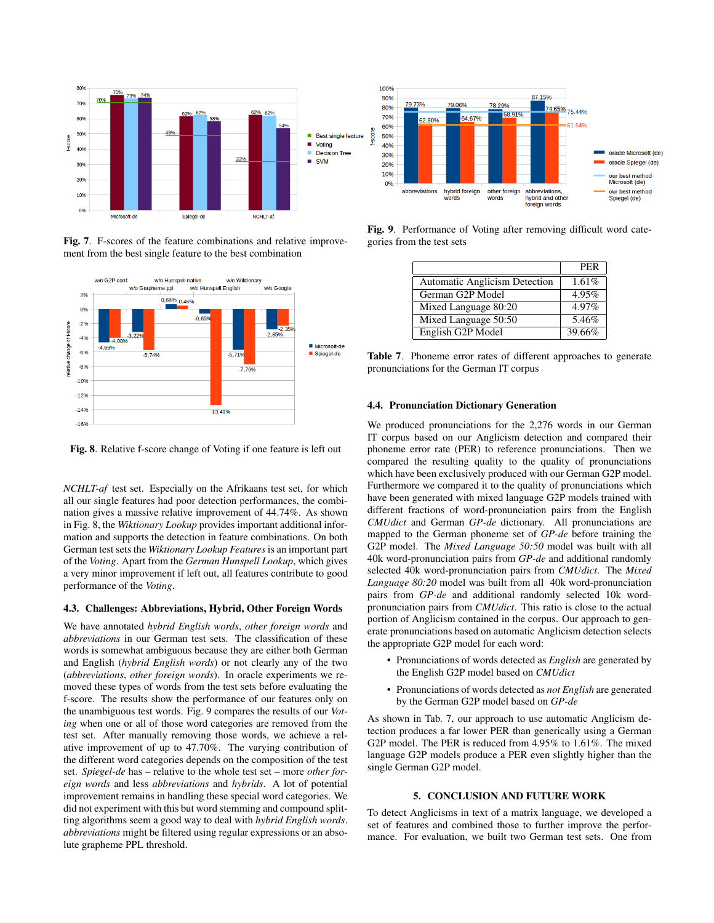

Fig. 7. F-scores of the feature combinations and relative improvement from the best single feature to the best combination



Fig. 8. Relative f-score change of Voting if one feature is left out

*NCHLT-af* test set. Especially on the Afrikaans test set, for which all our single features had poor detection performances, the combination gives a massive relative improvement of 44.74%. As shown in Fig. 8, the *Wiktionary Lookup* provides important additional information and supports the detection in feature combinations. On both German test sets the *Wiktionary Lookup Features* is an important part of the *Voting*. Apart from the *German Hunspell Lookup*, which gives a very minor improvement if left out, all features contribute to good performance of the *Voting*.

### 4.3. Challenges: Abbreviations, Hybrid, Other Foreign Words

We have annotated *hybrid English words*, *other foreign words* and *abbreviations* in our German test sets. The classification of these words is somewhat ambiguous because they are either both German and English (*hybrid English words*) or not clearly any of the two (*abbreviations*, *other foreign words*). In oracle experiments we removed these types of words from the test sets before evaluating the f-score. The results show the performance of our features only on the unambiguous test words. Fig. 9 compares the results of our *Voting* when one or all of those word categories are removed from the test set. After manually removing those words, we achieve a relative improvement of up to 47.70%. The varying contribution of the different word categories depends on the composition of the test set. *Spiegel-de* has – relative to the whole test set – more *other foreign words* and less *abbreviations* and *hybrids*. A lot of potential improvement remains in handling these special word categories. We did not experiment with this but word stemming and compound splitting algorithms seem a good way to deal with *hybrid English words*. *abbreviations* might be filtered using regular expressions or an absolute grapheme PPL threshold.



Fig. 9. Performance of Voting after removing difficult word categories from the test sets

|                                      | <b>PER</b> |
|--------------------------------------|------------|
| <b>Automatic Anglicism Detection</b> | 1.61%      |
| German G2P Model                     | 4.95%      |
| Mixed Language 80:20                 | 4.97%      |
| Mixed Language 50:50                 | 5.46%      |
| English G2P Model                    | 39.66%     |

Table 7. Phoneme error rates of different approaches to generate pronunciations for the German IT corpus

# 4.4. Pronunciation Dictionary Generation

We produced pronunciations for the 2,276 words in our German IT corpus based on our Anglicism detection and compared their phoneme error rate (PER) to reference pronunciations. Then we compared the resulting quality to the quality of pronunciations which have been exclusively produced with our German G2P model. Furthermore we compared it to the quality of pronunciations which have been generated with mixed language G2P models trained with different fractions of word-pronunciation pairs from the English *CMUdict* and German *GP-de* dictionary. All pronunciations are mapped to the German phoneme set of *GP-de* before training the G2P model. The *Mixed Language 50:50* model was built with all 40k word-pronunciation pairs from *GP-de* and additional randomly selected 40k word-pronunciation pairs from *CMUdict*. The *Mixed Language 80:20* model was built from all 40k word-pronunciation pairs from *GP-de* and additional randomly selected 10k wordpronunciation pairs from *CMUdict*. This ratio is close to the actual portion of Anglicism contained in the corpus. Our approach to generate pronunciations based on automatic Anglicism detection selects the appropriate G2P model for each word:

- Pronunciations of words detected as *English* are generated by the English G2P model based on *CMUdict*
- Pronunciations of words detected as *not English* are generated by the German G2P model based on *GP-de*

As shown in Tab. 7, our approach to use automatic Anglicism detection produces a far lower PER than generically using a German G2P model. The PER is reduced from 4.95% to 1.61%. The mixed language G2P models produce a PER even slightly higher than the single German G2P model.

### 5. CONCLUSION AND FUTURE WORK

To detect Anglicisms in text of a matrix language, we developed a set of features and combined those to further improve the performance. For evaluation, we built two German test sets. One from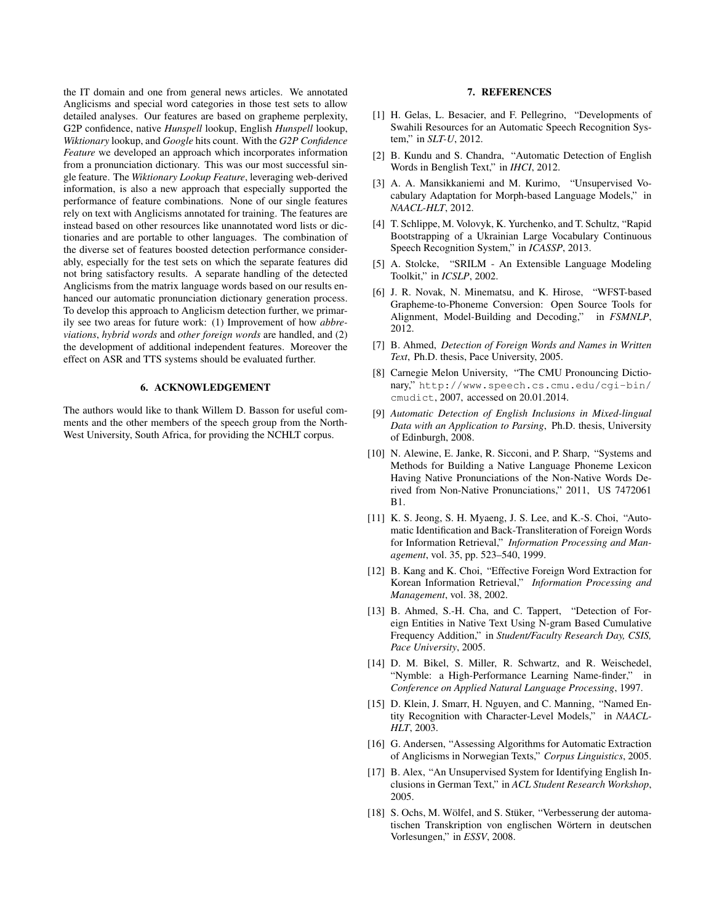the IT domain and one from general news articles. We annotated Anglicisms and special word categories in those test sets to allow detailed analyses. Our features are based on grapheme perplexity, G2P confidence, native *Hunspell* lookup, English *Hunspell* lookup, *Wiktionary* lookup, and *Google* hits count. With the *G2P Confidence Feature* we developed an approach which incorporates information from a pronunciation dictionary. This was our most successful single feature. The *Wiktionary Lookup Feature*, leveraging web-derived information, is also a new approach that especially supported the performance of feature combinations. None of our single features rely on text with Anglicisms annotated for training. The features are instead based on other resources like unannotated word lists or dictionaries and are portable to other languages. The combination of the diverse set of features boosted detection performance considerably, especially for the test sets on which the separate features did not bring satisfactory results. A separate handling of the detected Anglicisms from the matrix language words based on our results enhanced our automatic pronunciation dictionary generation process. To develop this approach to Anglicism detection further, we primarily see two areas for future work: (1) Improvement of how *abbreviations*, *hybrid words* and *other foreign words* are handled, and (2) the development of additional independent features. Moreover the effect on ASR and TTS systems should be evaluated further.

# 6. ACKNOWLEDGEMENT

The authors would like to thank Willem D. Basson for useful comments and the other members of the speech group from the North-West University, South Africa, for providing the NCHLT corpus.

### 7. REFERENCES

- [1] H. Gelas, L. Besacier, and F. Pellegrino, "Developments of Swahili Resources for an Automatic Speech Recognition System," in *SLT-U*, 2012.
- [2] B. Kundu and S. Chandra, "Automatic Detection of English Words in Benglish Text," in *IHCI*, 2012.
- [3] A. A. Mansikkaniemi and M. Kurimo, "Unsupervised Vocabulary Adaptation for Morph-based Language Models," in *NAACL-HLT*, 2012.
- [4] T. Schlippe, M. Volovyk, K. Yurchenko, and T. Schultz, "Rapid Bootstrapping of a Ukrainian Large Vocabulary Continuous Speech Recognition System," in *ICASSP*, 2013.
- [5] A. Stolcke, "SRILM An Extensible Language Modeling Toolkit," in *ICSLP*, 2002.
- [6] J. R. Novak, N. Minematsu, and K. Hirose, "WFST-based Grapheme-to-Phoneme Conversion: Open Source Tools for Alignment, Model-Building and Decoding," in *FSMNLP*, 2012.
- [7] B. Ahmed, *Detection of Foreign Words and Names in Written Text*, Ph.D. thesis, Pace University, 2005.
- [8] Carnegie Melon University, "The CMU Pronouncing Dictionary," http://www.speech.cs.cmu.edu/cgi-bin/ cmudict, 2007, accessed on 20.01.2014.
- [9] *Automatic Detection of English Inclusions in Mixed-lingual Data with an Application to Parsing*, Ph.D. thesis, University of Edinburgh, 2008.
- [10] N. Alewine, E. Janke, R. Sicconi, and P. Sharp, "Systems and Methods for Building a Native Language Phoneme Lexicon Having Native Pronunciations of the Non-Native Words Derived from Non-Native Pronunciations," 2011, US 7472061 B1.
- [11] K. S. Jeong, S. H. Myaeng, J. S. Lee, and K.-S. Choi, "Automatic Identification and Back-Transliteration of Foreign Words for Information Retrieval," *Information Processing and Management*, vol. 35, pp. 523–540, 1999.
- [12] B. Kang and K. Choi, "Effective Foreign Word Extraction for Korean Information Retrieval," *Information Processing and Management*, vol. 38, 2002.
- [13] B. Ahmed, S.-H. Cha, and C. Tappert, "Detection of Foreign Entities in Native Text Using N-gram Based Cumulative Frequency Addition," in *Student/Faculty Research Day, CSIS, Pace University*, 2005.
- [14] D. M. Bikel, S. Miller, R. Schwartz, and R. Weischedel, "Nymble: a High-Performance Learning Name-finder," in *Conference on Applied Natural Language Processing*, 1997.
- [15] D. Klein, J. Smarr, H. Nguyen, and C. Manning, "Named Entity Recognition with Character-Level Models," in *NAACL-HLT*, 2003.
- [16] G. Andersen, "Assessing Algorithms for Automatic Extraction of Anglicisms in Norwegian Texts," *Corpus Linguistics*, 2005.
- [17] B. Alex, "An Unsupervised System for Identifying English Inclusions in German Text," in *ACL Student Research Workshop*, 2005.
- [18] S. Ochs, M. Wölfel, and S. Stüker, "Verbesserung der automatischen Transkription von englischen Wörtern in deutschen Vorlesungen," in *ESSV*, 2008.